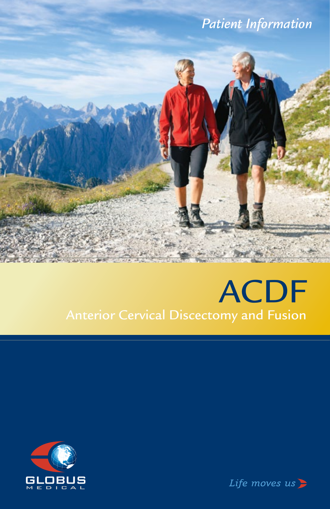

# ACDF Anterior Cervical Discectomy and Fusion



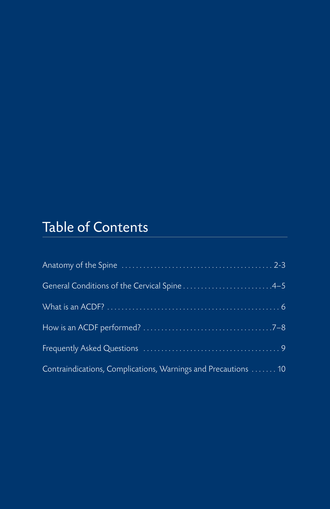# Table of Contents

| Contraindications, Complications, Warnings and Precautions  10 |
|----------------------------------------------------------------|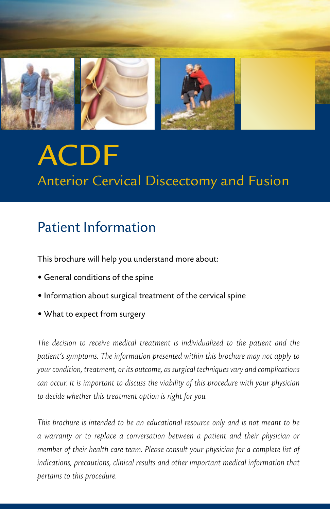

# ACDF Anterior Cervical Discectomy and Fusion

# Patient Information

This brochure will help you understand more about:

- General conditions of the spine
- Information about surgical treatment of the cervical spine
- What to expect from surgery

*The decision to receive medical treatment is individualized to the patient and the patient's symptoms. The information presented within this brochure may not apply to your condition, treatment, or its outcome, as surgical techniques vary and complications can occur. It is important to discuss the viability of this procedure with your physician to decide whether this treatment option is right for you.* 

*This brochure is intended to be an educational resource only and is not meant to be a warranty or to replace a conversation between a patient and their physician or member of their health care team. Please consult your physician for a complete list of indications, precautions, clinical results and other important medical information that pertains to this procedure.*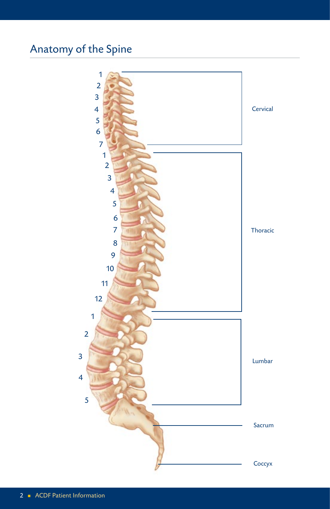# Anatomy of the Spine

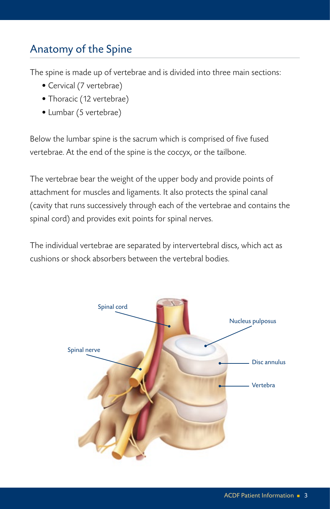## Anatomy of the Spine

The spine is made up of vertebrae and is divided into three main sections:

- Cervical (7 vertebrae)
- Thoracic (12 vertebrae)
- Lumbar (5 vertebrae)

Below the lumbar spine is the sacrum which is comprised of five fused vertebrae. At the end of the spine is the coccyx, or the tailbone.

The vertebrae bear the weight of the upper body and provide points of attachment for muscles and ligaments. It also protects the spinal canal (cavity that runs successively through each of the vertebrae and contains the spinal cord) and provides exit points for spinal nerves.

The individual vertebrae are separated by intervertebral discs, which act as cushions or shock absorbers between the vertebral bodies.

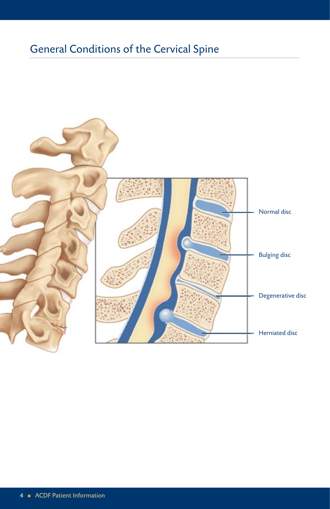# General Conditions of the Cervical Spine

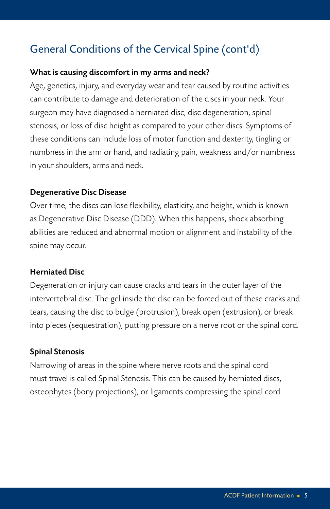## General Conditions of the Cervical Spine (cont'd)

#### What is causing discomfort in my arms and neck?

Age, genetics, injury, and everyday wear and tear caused by routine activities can contribute to damage and deterioration of the discs in your neck. Your surgeon may have diagnosed a herniated disc, disc degeneration, spinal stenosis, or loss of disc height as compared to your other discs. Symptoms of these conditions can include loss of motor function and dexterity, tingling or numbness in the arm or hand, and radiating pain, weakness and/or numbness in your shoulders, arms and neck.

#### Degenerative Disc Disease

Over time, the discs can lose flexibility, elasticity, and height, which is known as Degenerative Disc Disease (DDD). When this happens, shock absorbing abilities are reduced and abnormal motion or alignment and instability of the spine may occur.

#### Herniated Disc

Degeneration or injury can cause cracks and tears in the outer layer of the intervertebral disc. The gel inside the disc can be forced out of these cracks and tears, causing the disc to bulge (protrusion), break open (extrusion), or break into pieces (sequestration), putting pressure on a nerve root or the spinal cord.

#### Spinal Stenosis

Narrowing of areas in the spine where nerve roots and the spinal cord must travel is called Spinal Stenosis. This can be caused by herniated discs, osteophytes (bony projections), or ligaments compressing the spinal cord.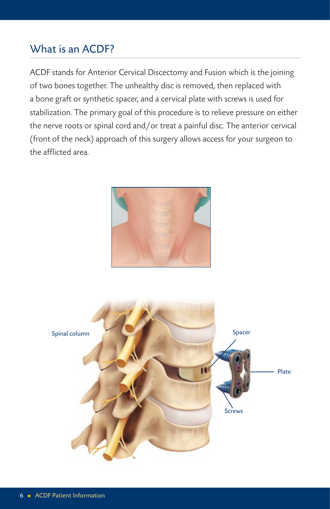### What is an ACDF?

ACDF stands for Anterior Cervical Discectomy and Fusion which is the joining of two bones together. The unhealthy disc is removed, then replaced with a bone graft or synthetic spacer, and a cervical plate with screws is used for stabilization. The primary goal of this procedure is to relieve pressure on either the nerve roots or spinal cord and/or treat a painful disc. The anterior cervical (front of the neck) approach of this surgery allows access for your surgeon to the afflicted area.



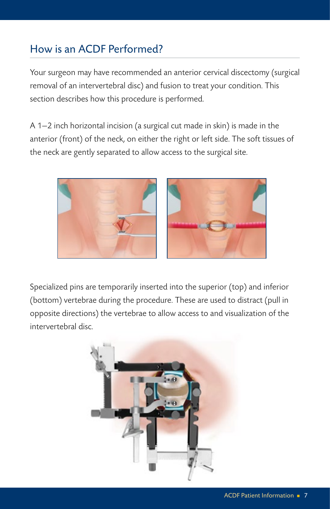## How is an ACDF Performed?

Your surgeon may have recommended an anterior cervical discectomy (surgical removal of an intervertebral disc) and fusion to treat your condition. This section describes how this procedure is performed.

A 1—2 inch horizontal incision (a surgical cut made in skin) is made in the anterior (front) of the neck, on either the right or left side. The soft tissues of the neck are gently separated to allow access to the surgical site.



Specialized pins are temporarily inserted into the superior (top) and inferior (bottom) vertebrae during the procedure. These are used to distract (pull in opposite directions) the vertebrae to allow access to and visualization of the intervertebral disc.

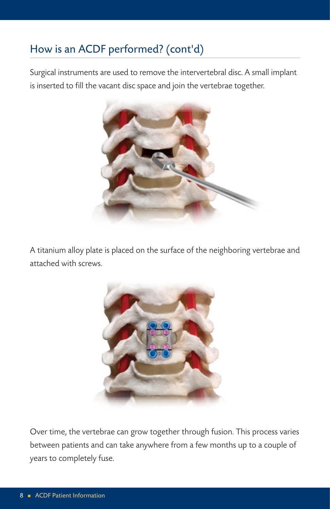# How is an ACDF performed? (cont'd)

Surgical instruments are used to remove the intervertebral disc. A small implant is inserted to fill the vacant disc space and join the vertebrae together.



A titanium alloy plate is placed on the surface of the neighboring vertebrae and attached with screws.



Over time, the vertebrae can grow together through fusion. This process varies between patients and can take anywhere from a few months up to a couple of years to completely fuse.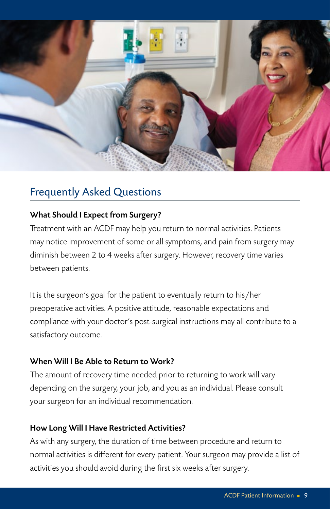

## Frequently Asked Questions

#### What Should I Expect from Surgery?

Treatment with an ACDF may help you return to normal activities. Patients may notice improvement of some or all symptoms, and pain from surgery may diminish between 2 to 4 weeks after surgery. However, recovery time varies between patients.

It is the surgeon's goal for the patient to eventually return to his/her preoperative activities. A positive attitude, reasonable expectations and compliance with your doctor's post-surgical instructions may all contribute to a satisfactory outcome.

#### When Will I Be Able to Return to Work?

The amount of recovery time needed prior to returning to work will vary depending on the surgery, your job, and you as an individual. Please consult your surgeon for an individual recommendation.

#### How Long Will I Have Restricted Activities?

As with any surgery, the duration of time between procedure and return to normal activities is different for every patient. Your surgeon may provide a list of activities you should avoid during the first six weeks after surgery.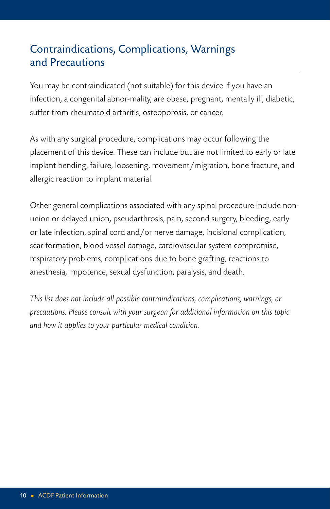### Contraindications, Complications, Warnings and Precautions

You may be contraindicated (not suitable) for this device if you have an infection, a congenital abnor-mality, are obese, pregnant, mentally ill, diabetic, suffer from rheumatoid arthritis, osteoporosis, or cancer.

As with any surgical procedure, complications may occur following the placement of this device. These can include but are not limited to early or late implant bending, failure, loosening, movement/migration, bone fracture, and allergic reaction to implant material.

Other general complications associated with any spinal procedure include nonunion or delayed union, pseudarthrosis, pain, second surgery, bleeding, early or late infection, spinal cord and/or nerve damage, incisional complication, scar formation, blood vessel damage, cardiovascular system compromise, respiratory problems, complications due to bone grafting, reactions to anesthesia, impotence, sexual dysfunction, paralysis, and death.

*This list does not include all possible contraindications, complications, warnings, or precautions. Please consult with your surgeon for additional information on this topic and how it applies to your particular medical condition.*